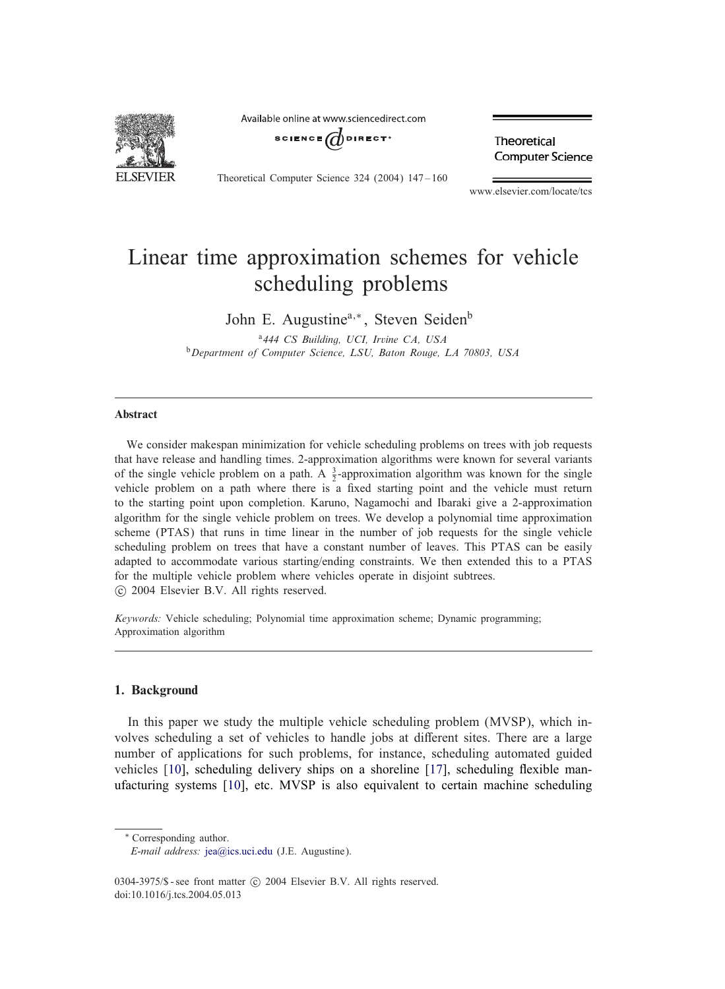

Available online at www sciencedirect com



Theoretical Computer Science 324 (2004) 147-160

Theoretical Computer Science

www.elsevier.com/locate/tcs

# Linear time approximation schemes for vehicle scheduling problems

John E. Augustine<sup>a,\*</sup>, Steven Seiden<sup>b</sup>

<sup>a</sup>*444 CS Building, UCI, Irvine CA, USA* <sup>b</sup>*Department of Computer Science, LSU, Baton Rouge, LA 70803, USA*

### Abstract

We consider makespan minimization for vehicle scheduling problems on trees with job requests that have release and handling times. 2-approximation algorithms were known for several variants of the single vehicle problem on a path. A  $\frac{3}{2}$ -approximation algorithm was known for the single vehicle problem on a path where there is a fixed starting point and the vehicle must return to the starting point upon completion. Karuno, Nagamochi and Ibaraki give a 2-approximation algorithm for the single vehicle problem on trees. We develop a polynomial time approximation scheme (PTAS) that runs in time linear in the number of job requests for the single vehicle scheduling problem on trees that have a constant number of leaves. This PTAS can be easily adapted to accommodate various starting/ending constraints. We then extended this to a PTAS for the multiple vehicle problem where vehicles operate in disjoint subtrees. c 2004 Elsevier B.V. All rights reserved.

*Keywords:* Vehicle scheduling; Polynomial time approximation scheme; Dynamic programming; Approximation algorithm

## 1. Background

In this paper we study the multiple vehicle scheduling problem (MVSP), which involves scheduling a set of vehicles to handle jobs at different sites. There are a large number of applications for such problems, for instance, scheduling automated guided vehicles  $[10]$ , scheduling delivery ships on a shoreline  $[17]$ , scheduling flexible manufacturing systems [10], etc. MVSP is also equivalent to certain machine scheduling

<sup>∗</sup> Corresponding author.

0304-3975/\$ - see front matter  $\odot$  2004 Elsevier B.V. All rights reserved. doi:10.1016/j.tcs.2004.05.013

*E-mail address:* jea@ics.uci.edu (J.E. Augustine).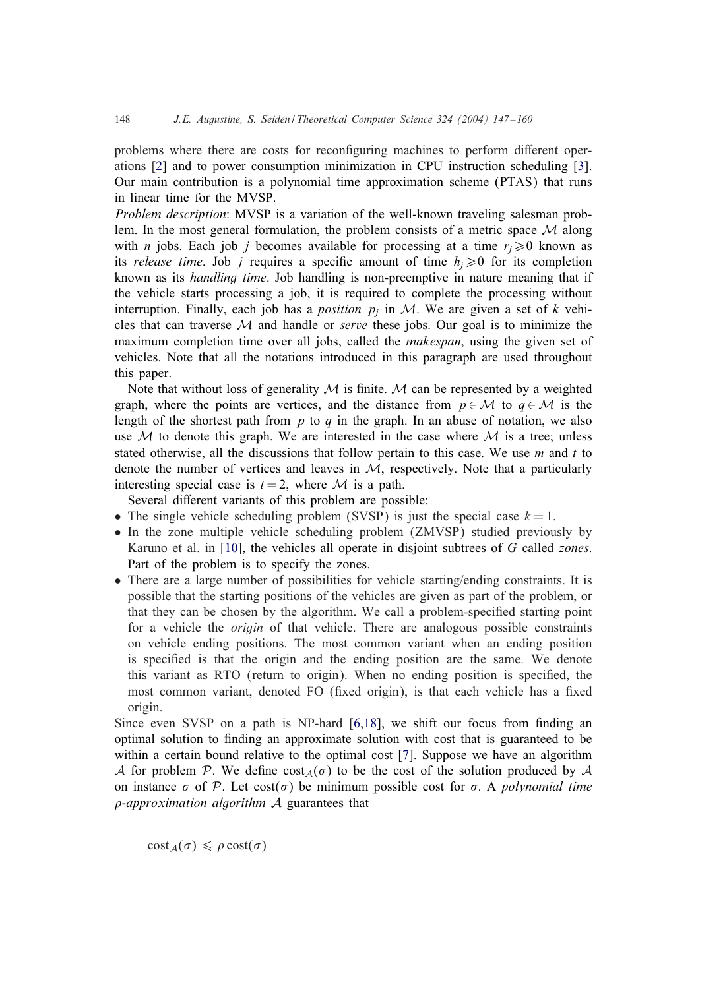problems where there are costs for reconfiguring machines to perform different operations [2] and to power consumption minimization in CPU instruction scheduling [3]. Our main contribution is a polynomial time approximation scheme (PTAS) that runs in linear time for the MVSP.

*Problem description*: MVSP is a variation of the well-known traveling salesman problem. In the most general formulation, the problem consists of a metric space  $\mathcal M$  along with *n* jobs. Each job *j* becomes available for processing at a time  $r_i \geq 0$  known as its *release time*. Job *j* requires a specific amount of time  $h_i \geq 0$  for its completion known as its *handling time*. Job handling is non-preemptive in nature meaning that if the vehicle starts processing a job, it is required to complete the processing without interruption. Finally, each job has a *position*  $p_j$  in M. We are given a set of k vehicles that can traverse M and handle or *serve* these jobs. Our goal is to minimize the maximum completion time over all jobs, called the *makespan*, using the given set of vehicles. Note that all the notations introduced in this paragraph are used throughout this paper.

Note that without loss of generality  $M$  is finite. M can be represented by a weighted graph, where the points are vertices, and the distance from  $p \in \mathcal{M}$  to  $q \in \mathcal{M}$  is the length of the shortest path from  $p$  to  $q$  in the graph. In an abuse of notation, we also use  $M$  to denote this graph. We are interested in the case where  $M$  is a tree; unless stated otherwise, all the discussions that follow pertain to this case. We use  $m$  and  $t$  to denote the number of vertices and leaves in  $M$ , respectively. Note that a particularly interesting special case is  $t = 2$ , where M is a path.

Several different variants of this problem are possible:

- The single vehicle scheduling problem (SVSP) is just the special case  $k = 1$ .
- In the zone multiple vehicle scheduling problem (ZMVSP) studied previously by Karuno et al. in [10], the vehicles all operate in disjoint subtrees of G called *zones*. Part of the problem is to specify the zones.
- There are a large number of possibilities for vehicle starting/ending constraints. It is possible that the starting positions of the vehicles are given as part of the problem, or that they can be chosen by the algorithm. We call a problem-specied starting point for a vehicle the *origin* of that vehicle. There are analogous possible constraints on vehicle ending positions. The most common variant when an ending position is specified is that the origin and the ending position are the same. We denote this variant as RTO (return to origin). When no ending position is specied, the most common variant, denoted FO (fixed origin), is that each vehicle has a fixed origin.

Since even SVSP on a path is NP-hard  $[6,18]$ , we shift our focus from finding an optimal solution to finding an approximate solution with cost that is guaranteed to be within a certain bound relative to the optimal cost [7]. Suppose we have an algorithm A for problem P. We define cost  $_A(\sigma)$  to be the cost of the solution produced by A on instance  $\sigma$  of P. Let cost( $\sigma$ ) be minimum possible cost for  $\sigma$ . A *polynomial time -approximation algorithm* A guarantees that

 $cost_A(\sigma) \leq \rho \, cost(\sigma)$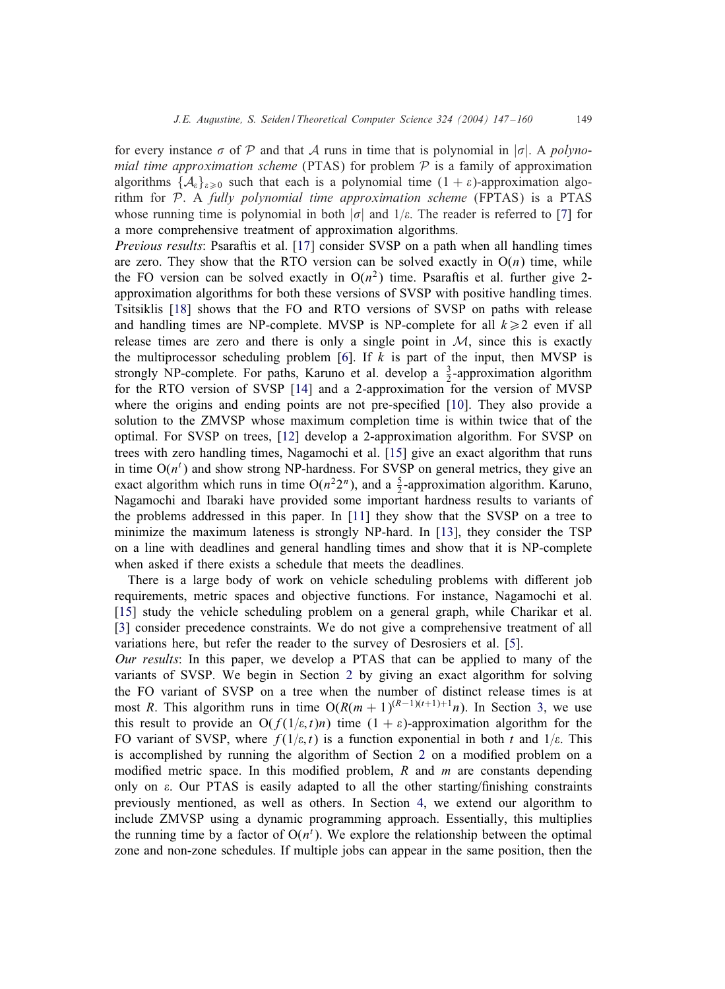for every instance  $\sigma$  of P and that A runs in time that is polynomial in  $|\sigma|$ . A *polynomial time approximation scheme* (PTAS) for problem  $P$  is a family of approximation algorithms  $\{A_{\varepsilon}\}_{{\varepsilon}>0}$  such that each is a polynomial time  $(1 + \varepsilon)$ -approximation algorithm for P. A *fully polynomial time approximation scheme* (FPTAS) is a PTAS whose running time is polynomial in both  $|\sigma|$  and  $1/\varepsilon$ . The reader is referred to [7] for a more comprehensive treatment of approximation algorithms.

*Previous results*: Psaraftis et al. [17] consider SVSP on a path when all handling times are zero. They show that the RTO version can be solved exactly in  $O(n)$  time, while the FO version can be solved exactly in  $O(n^2)$  time. Psaraftis et al. further give 2approximation algorithms for both these versions of SVSP with positive handling times. Tsitsiklis [18] shows that the FO and RTO versions of SVSP on paths with release and handling times are NP-complete. MVSP is NP-complete for all  $k \geq 2$  even if all release times are zero and there is only a single point in  $M$ , since this is exactly the multiprocessor scheduling problem [6]. If  $k$  is part of the input, then MVSP is strongly NP-complete. For paths, Karuno et al. develop a  $\frac{3}{2}$ -approximation algorithm for the RTO version of SVSP [14] and a 2-approximation for the version of MVSP where the origins and ending points are not pre-specified [10]. They also provide a solution to the ZMVSP whose maximum completion time is within twice that of the optimal. For SVSP on trees, [12] develop a 2-approximation algorithm. For SVSP on trees with zero handling times, Nagamochi et al. [15] give an exact algorithm that runs in time  $O(n^{t})$  and show strong NP-hardness. For SVSP on general metrics, they give an exact algorithm which runs in time  $O(n^2 2^n)$ , and a  $\frac{5}{2}$ -approximation algorithm. Karuno, Nagamochi and Ibaraki have provided some important hardness results to variants of the problems addressed in this paper. In [11] they show that the SVSP on a tree to minimize the maximum lateness is strongly NP-hard. In [13], they consider the TSP on a line with deadlines and general handling times and show that it is NP-complete when asked if there exists a schedule that meets the deadlines.

There is a large body of work on vehicle scheduling problems with different job requirements, metric spaces and objective functions. For instance, Nagamochi et al. [15] study the vehicle scheduling problem on a general graph, while Charikar et al. [3] consider precedence constraints. We do not give a comprehensive treatment of all variations here, but refer the reader to the survey of Desrosiers et al. [5].

*Our results*: In this paper, we develop a PTAS that can be applied to many of the variants of SVSP. We begin in Section 2 by giving an exact algorithm for solving the FO variant of SVSP on a tree when the number of distinct release times is at most R. This algorithm runs in time  $O(R(m + 1)^{(R-1)(t+1)+1}n)$ . In Section 3, we use this result to provide an  $O(f(1/\varepsilon, t)n)$  time  $(1 + \varepsilon)$ -approximation algorithm for the FO variant of SVSP, where  $f(1/\varepsilon, t)$  is a function exponential in both t and  $1/\varepsilon$ . This is accomplished by running the algorithm of Section 2 on a modified problem on a modified metric space. In this modified problem,  $R$  and  $m$  are constants depending only on  $\varepsilon$ . Our PTAS is easily adapted to all the other starting/finishing constraints previously mentioned, as well as others. In Section 4, we extend our algorithm to include ZMVSP using a dynamic programming approach. Essentially, this multiplies the running time by a factor of  $O(n^t)$ . We explore the relationship between the optimal zone and non-zone schedules. If multiple jobs can appear in the same position, then the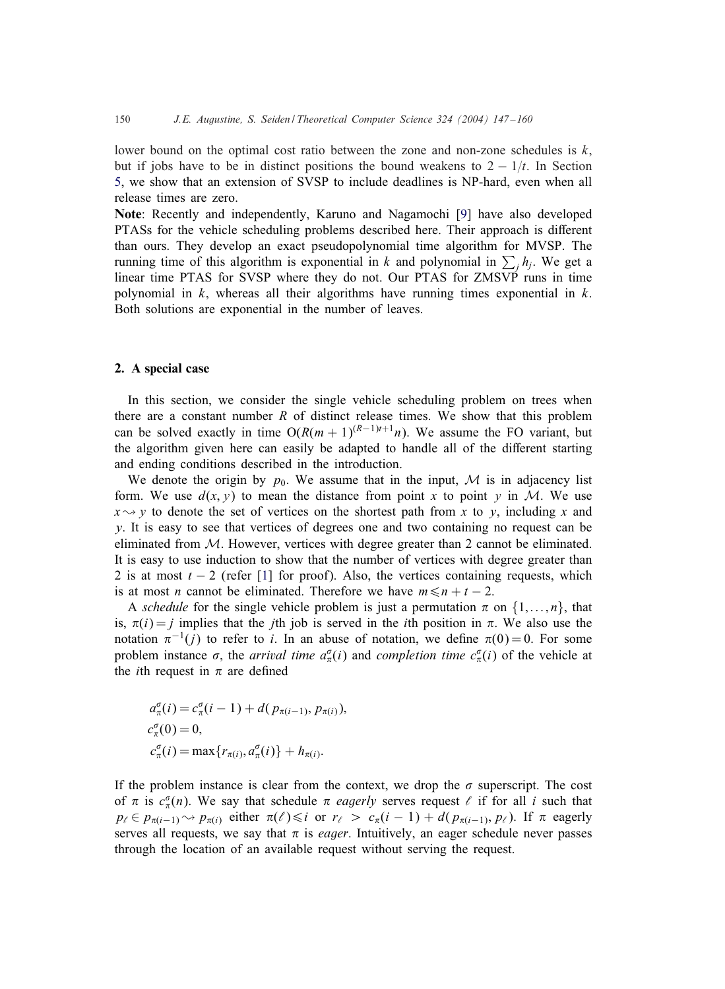lower bound on the optimal cost ratio between the zone and non-zone schedules is  $k$ , but if jobs have to be in distinct positions the bound weakens to  $2 - 1/t$ . In Section 5, we show that an extension of SVSP to include deadlines is NP-hard, even when all release times are zero.

Note: Recently and independently, Karuno and Nagamochi [9] have also developed PTASs for the vehicle scheduling problems described here. Their approach is different than ours. They develop an exact pseudopolynomial time algorithm for MVSP. The running time of this algorithm is exponential in k and polynomial in  $\sum_j h_j$ . We get a linear time PTAS for SVSP where they do not. Our PTAS for ZMSVP runs in time polynomial in  $k$ , whereas all their algorithms have running times exponential in  $k$ . Both solutions are exponential in the number of leaves.

#### 2. A special case

In this section, we consider the single vehicle scheduling problem on trees when there are a constant number  $R$  of distinct release times. We show that this problem can be solved exactly in time  $O(R(m + 1)^{(R-1)t+1}n)$ . We assume the FO variant, but the algorithm given here can easily be adapted to handle all of the different starting and ending conditions described in the introduction.

We denote the origin by  $p_0$ . We assume that in the input, M is in adjacency list form. We use  $d(x, y)$  to mean the distance from point x to point y in M. We use  $x \rightarrow y$  to denote the set of vertices on the shortest path from x to y, including x and  $\gamma$ . It is easy to see that vertices of degrees one and two containing no request can be eliminated from  $M$ . However, vertices with degree greater than 2 cannot be eliminated. It is easy to use induction to show that the number of vertices with degree greater than 2 is at most  $t - 2$  (refer [1] for proof). Also, the vertices containing requests, which is at most *n* cannot be eliminated. Therefore we have  $m \le n + t - 2$ .

A *schedule* for the single vehicle problem is just a permutation  $\pi$  on  $\{1,\ldots,n\}$ , that is,  $\pi(i) = j$  implies that the *j*th job is served in the *i*th position in  $\pi$ . We also use the notation  $\pi^{-1}(j)$  to refer to i. In an abuse of notation, we define  $\pi(0) = 0$ . For some problem instance  $\sigma$ , the *arrival time*  $a_{\pi}^{\sigma}(i)$  and *completion time*  $c_{\pi}^{\sigma}(i)$  of the vehicle at the *i*th request in  $\pi$  are defined

$$
a_{\pi}^{\sigma}(i) = c_{\pi}^{\sigma}(i-1) + d(p_{\pi(i-1)}, p_{\pi(i)}),
$$
  
\n
$$
c_{\pi}^{\sigma}(0) = 0,
$$
  
\n
$$
c_{\pi}^{\sigma}(i) = \max\{r_{\pi(i)}, a_{\pi}^{\sigma}(i)\} + h_{\pi(i)}.
$$

If the problem instance is clear from the context, we drop the  $\sigma$  superscript. The cost of  $\pi$  is  $c_{\pi}^{\sigma}(n)$ . We say that schedule  $\pi$  *eagerly* serves request  $\ell$  if for all i such that  $p_{\ell} \in p_{\pi(i-1)} \rightsquigarrow p_{\pi(i)}$  either  $\pi(\ell) \leq i$  or  $r_{\ell} > c_{\pi}(i-1) + d(p_{\pi(i-1)}, p_{\ell})$ . If  $\pi$  eagerly serves all requests, we say that  $\pi$  is *eager*. Intuitively, an eager schedule never passes through the location of an available request without serving the request.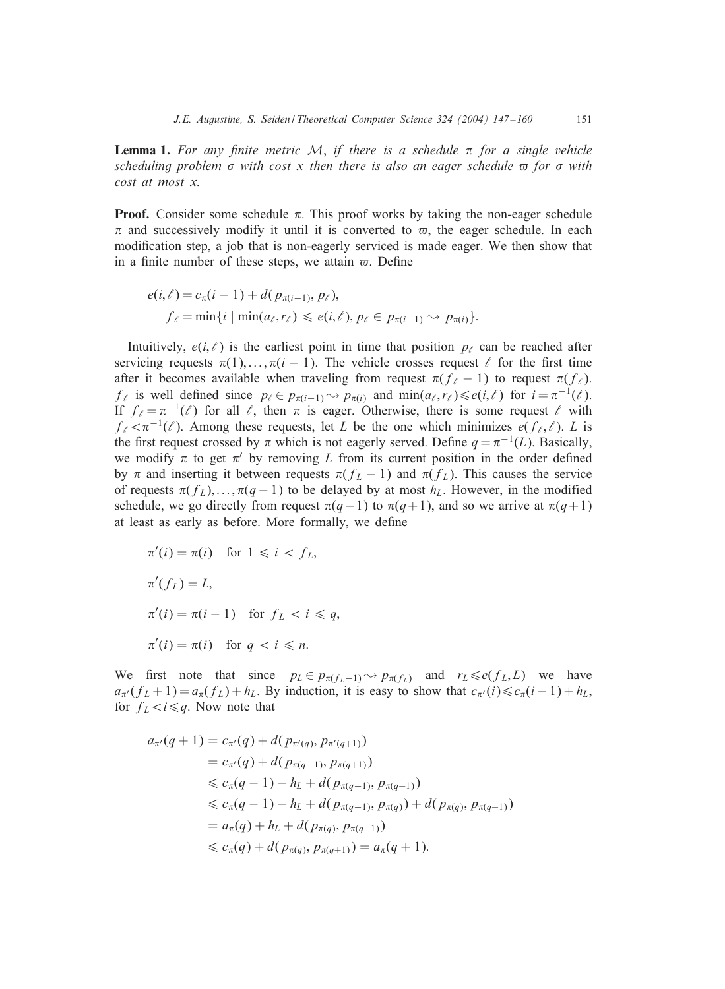**Lemma 1.** For any finite metric M, if there is a schedule  $\pi$  for a single vehicle *scheduling problem*  $\sigma$  *with cost x then there is also an eager schedule*  $\sigma$  *for*  $\sigma$  *with cost at most x.*

**Proof.** Consider some schedule  $\pi$ . This proof works by taking the non-eager schedule  $\pi$  and successively modify it until it is converted to  $\varpi$ , the eager schedule. In each modication step, a job that is non-eagerly serviced is made eager. We then show that in a finite number of these steps, we attain  $\varpi$ . Define

$$
e(i,\ell) = c_{\pi}(i-1) + d(p_{\pi(i-1)}, p_{\ell}),
$$
  
\n
$$
f_{\ell} = \min\{i \mid \min(a_{\ell}, r_{\ell}) \leq e(i,\ell), p_{\ell} \in p_{\pi(i-1)} \sim p_{\pi(i)}\}.
$$

Intuitively,  $e(i, \ell)$  is the earliest point in time that position  $p_{\ell}$  can be reached after servicing requests  $\pi(1),..., \pi(i-1)$ . The vehicle crosses request  $\ell$  for the first time after it becomes available when traveling from request  $\pi(f_{\ell} - 1)$  to request  $\pi(f_{\ell})$ .  $f_{\ell}$  is well defined since  $p_{\ell} \in p_{\pi(i-1)} \leadsto p_{\pi(i)}$  and  $\min(a_{\ell}, r_{\ell}) \leq e(i, \ell)$  for  $i = \pi^{-1}(\ell)$ . If  $f_{\ell} = \pi^{-1}(\ell)$  for all  $\ell$ , then  $\pi$  is eager. Otherwise, there is some request  $\ell$  with  $f_{\ell} < \pi^{-1}(\ell)$ . Among these requests, let L be the one which minimizes  $e(f_{\ell}, \ell)$ . L is the first request crossed by  $\pi$  which is not eagerly served. Define  $q = \pi^{-1}(L)$ . Basically, we modify  $\pi$  to get  $\pi'$  by removing L from its current position in the order defined by π and inserting it between requests  $\pi(f_L - 1)$  and  $\pi(f_L)$ . This causes the service of requests  $\pi(f_L),..., \pi(q-1)$  to be delayed by at most  $h_L$ . However, in the modified schedule, we go directly from request  $\pi(q-1)$  to  $\pi(q+1)$ , and so we arrive at  $\pi(q+1)$ at least as early as before. More formally, we define

$$
\pi'(i) = \pi(i) \quad \text{for } 1 \leq i < f_L,
$$
\n
$$
\pi'(f_L) = L,
$$
\n
$$
\pi'(i) = \pi(i-1) \quad \text{for } f_L < i \leq q,
$$
\n
$$
\pi'(i) = \pi(i) \quad \text{for } q < i \leq n.
$$

We first note that since  $p_L \in p_{\pi(f_L-1)} \leadsto p_{\pi(f_L)}$  and  $r_L \leq e(f_L, L)$  we have  $a_{\pi}(f_L+1) = a_{\pi}(f_L) + h_L$ . By induction, it is easy to show that  $c_{\pi}(i) \leq c_{\pi}(i-1) + h_L$ , for  $f_L < i \leq q$ . Now note that

$$
a_{\pi'}(q+1) = c_{\pi'}(q) + d(p_{\pi'(q)}, p_{\pi'(q+1)})
$$
  
\n
$$
= c_{\pi'}(q) + d(p_{\pi(q-1)}, p_{\pi(q+1)})
$$
  
\n
$$
\leq c_{\pi}(q-1) + h_L + d(p_{\pi(q-1)}, p_{\pi(q+1)})
$$
  
\n
$$
\leq c_{\pi}(q-1) + h_L + d(p_{\pi(q-1)}, p_{\pi(q)}) + d(p_{\pi(q)}, p_{\pi(q+1)})
$$
  
\n
$$
= a_{\pi}(q) + h_L + d(p_{\pi(q)}, p_{\pi(q+1)})
$$
  
\n
$$
\leq c_{\pi}(q) + d(p_{\pi(q)}, p_{\pi(q+1)}) = a_{\pi}(q+1).
$$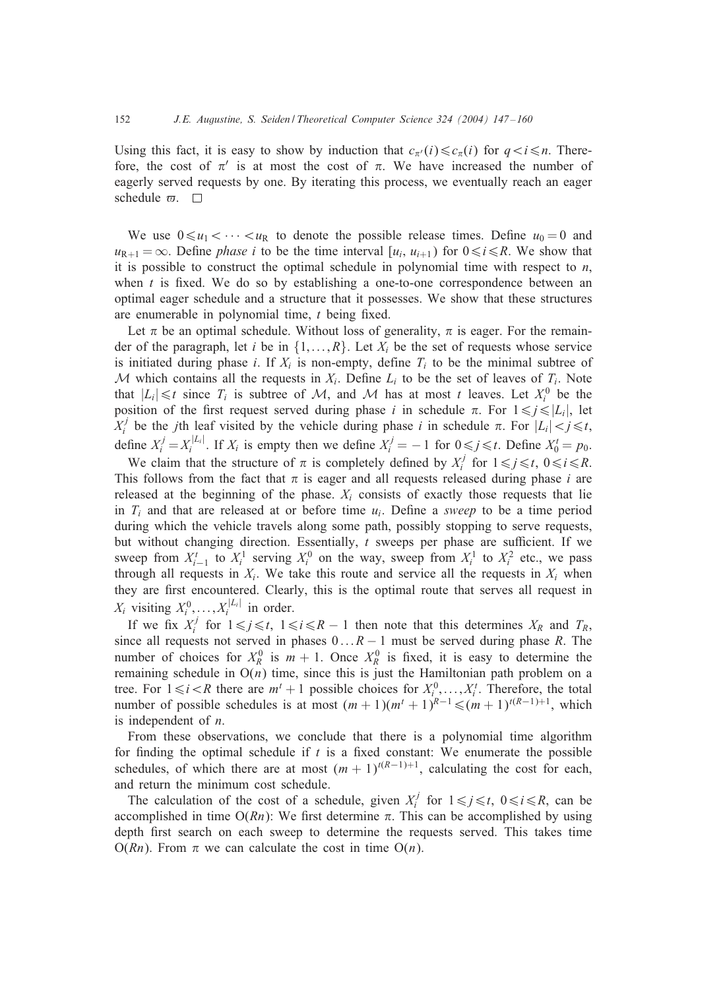Using this fact, it is easy to show by induction that  $c_{\pi'}(i) \leq c_{\pi}(i)$  for  $q < i \leq n$ . Therefore, the cost of  $\pi'$  is at most the cost of  $\pi$ . We have increased the number of eagerly served requests by one. By iterating this process, we eventually reach an eager schedule  $\varpi$ .  $\Box$ 

We use  $0 \le u_1 < \cdots < u_R$  to denote the possible release times. Define  $u_0 = 0$  and  $u_{R+1} = \infty$ . Define *phase i* to be the time interval  $[u_i, u_{i+1}]$  for  $0 \le i \le R$ . We show that it is possible to construct the optimal schedule in polynomial time with respect to  $n$ , when  $t$  is fixed. We do so by establishing a one-to-one correspondence between an optimal eager schedule and a structure that it possesses. We show that these structures are enumerable in polynomial time,  $t$  being fixed.

Let  $\pi$  be an optimal schedule. Without loss of generality,  $\pi$  is eager. For the remainder of the paragraph, let i be in  $\{1,\ldots,R\}$ . Let  $X_i$  be the set of requests whose service is initiated during phase *i*. If  $X_i$  is non-empty, define  $T_i$  to be the minimal subtree of M which contains all the requests in  $X_i$ . Define  $L_i$  to be the set of leaves of  $T_i$ . Note that  $|L_i| \leq t$  since  $T_i$  is subtree of M, and M has at most t leaves. Let  $X_i^0$  be the position of the first request served during phase i in schedule  $\pi$ . For  $1 \le j \le |L_i|$ , let  $X_i^j$  be the *j*th leaf visited by the vehicle during phase *i* in schedule  $\pi$ . For  $|L_i| < j \le t$ , define  $X_i^j = X_i^{|L_i|}$ . If  $X_i$  is empty then we define  $X_i^j = -1$  for  $0 \le j \le t$ . Define  $X_0^t = p_0$ .

We claim that the structure of  $\pi$  is completely defined by  $X_i^j$  for  $1 \leq j \leq t$ ,  $0 \leq i \leq R$ . This follows from the fact that  $\pi$  is eager and all requests released during phase i are released at the beginning of the phase.  $X_i$  consists of exactly those requests that lie in  $T_i$  and that are released at or before time  $u_i$ . Define a *sweep* to be a time period during which the vehicle travels along some path, possibly stopping to serve requests, but without changing direction. Essentially,  $t$  sweeps per phase are sufficient. If we sweep from  $X_{i-1}^t$  to  $X_i^1$  serving  $X_i^0$  on the way, sweep from  $X_i^1$  to  $X_i^2$  etc., we pass through all requests in  $X_i$ . We take this route and service all the requests in  $X_i$  when they are first encountered. Clearly, this is the optimal route that serves all request in  $X_i$  visiting  $X_i^0, \ldots, X_i^{|L_i|}$  in order.

If we fix  $X_i^j$  for  $1 \leq j \leq t$ ,  $1 \leq i \leq R-1$  then note that this determines  $X_R$  and  $T_R$ , since all requests not served in phases  $0 \dots R - 1$  must be served during phase R. The number of choices for  $X_R^0$  is  $m + 1$ . Once  $X_R^0$  is fixed, it is easy to determine the remaining schedule in  $O(n)$  time, since this is just the Hamiltonian path problem on a tree. For  $1 \le i < R$  there are  $m^t + 1$  possible choices for  $X_i^0, \ldots, X_i^t$ . Therefore, the total number of possible schedules is at most  $(m + 1)(m<sup>t</sup> + 1)<sup>R-1</sup> \le (m + 1)<sup>t(R-1)+1</sup>$ , which is independent of n.

From these observations, we conclude that there is a polynomial time algorithm for finding the optimal schedule if  $t$  is a fixed constant: We enumerate the possible schedules, of which there are at most  $(m + 1)^{t(R-1)+1}$ , calculating the cost for each, and return the minimum cost schedule.

The calculation of the cost of a schedule, given  $X_i^j$  for  $1 \leq j \leq t$ ,  $0 \leq i \leq R$ , can be accomplished in time  $O(Rn)$ : We first determine  $\pi$ . This can be accomplished by using depth first search on each sweep to determine the requests served. This takes time  $O(Rn)$ . From  $\pi$  we can calculate the cost in time  $O(n)$ .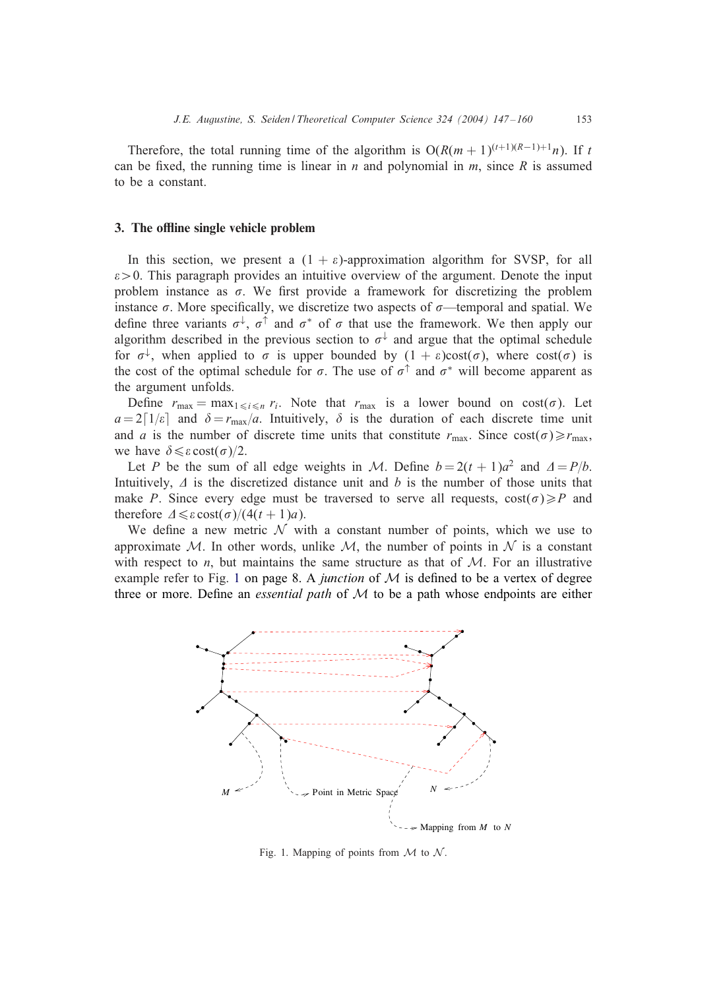Therefore, the total running time of the algorithm is  $O(R(m + 1)^{(t+1)(R-1)+1}n)$ . If t can be fixed, the running time is linear in  $n$  and polynomial in  $m$ , since  $R$  is assumed to be a constant.

#### 3. The offline single vehicle problem

In this section, we present a  $(1 + \varepsilon)$ -approximation algorithm for SVSP, for all  $\varepsilon$  > 0. This paragraph provides an intuitive overview of the argument. Denote the input problem instance as  $\sigma$ . We first provide a framework for discretizing the problem instance  $\sigma$ . More specifically, we discretize two aspects of  $\sigma$ —temporal and spatial. We define three variants  $\sigma^{\downarrow}$ ,  $\sigma^{\uparrow}$  and  $\sigma^*$  of  $\sigma$  that use the framework. We then apply our algorithm described in the previous section to  $\sigma^{\downarrow}$  and argue that the optimal schedule for  $\sigma^{\downarrow}$ , when applied to  $\sigma$  is upper bounded by  $(1 + \varepsilon) \cos(t\sigma)$ , where  $\cos(t\sigma)$  is the cost of the optimal schedule for  $\sigma$ . The use of  $\sigma$ <sup> $\uparrow$ </sup> and  $\sigma$ <sup>\*</sup> will become apparent as the argument unfolds.

Define  $r_{\text{max}} = \max_{1 \le i \le n} r_i$ . Note that  $r_{\text{max}}$  is a lower bound on  $\text{cost}(\sigma)$ . Let  $a = 2\lceil 1/\varepsilon \rceil$  and  $\delta = r_{\text{max}}/a$ . Intuitively,  $\delta$  is the duration of each discrete time unit and a is the number of discrete time units that constitute  $r_{\text{max}}$ . Since  $\cos(\sigma) \ge r_{\text{max}}$ , we have  $\delta \leqslant \varepsilon \cot(\sigma)/2$ .

Let P be the sum of all edge weights in M. Define  $b = 2(t + 1)a^2$  and  $\Delta = P/b$ . Intuitively,  $\Delta$  is the discretized distance unit and b is the number of those units that make P. Since every edge must be traversed to serve all requests,  $\cos(\sigma) \geq P$  and therefore  $\Delta \leq \varepsilon \cot(\sigma)/(4(t + 1)a)$ .

We define a new metric  $\mathcal N$  with a constant number of points, which we use to approximate M. In other words, unlike M, the number of points in  $\mathcal N$  is a constant with respect to  $n$ , but maintains the same structure as that of  $M$ . For an illustrative example refer to Fig. 1 on page 8. A *junction* of  $M$  is defined to be a vertex of degree three or more. Define an *essential path* of  $M$  to be a path whose endpoints are either



Fig. 1. Mapping of points from  $\mathcal M$  to  $\mathcal N$ .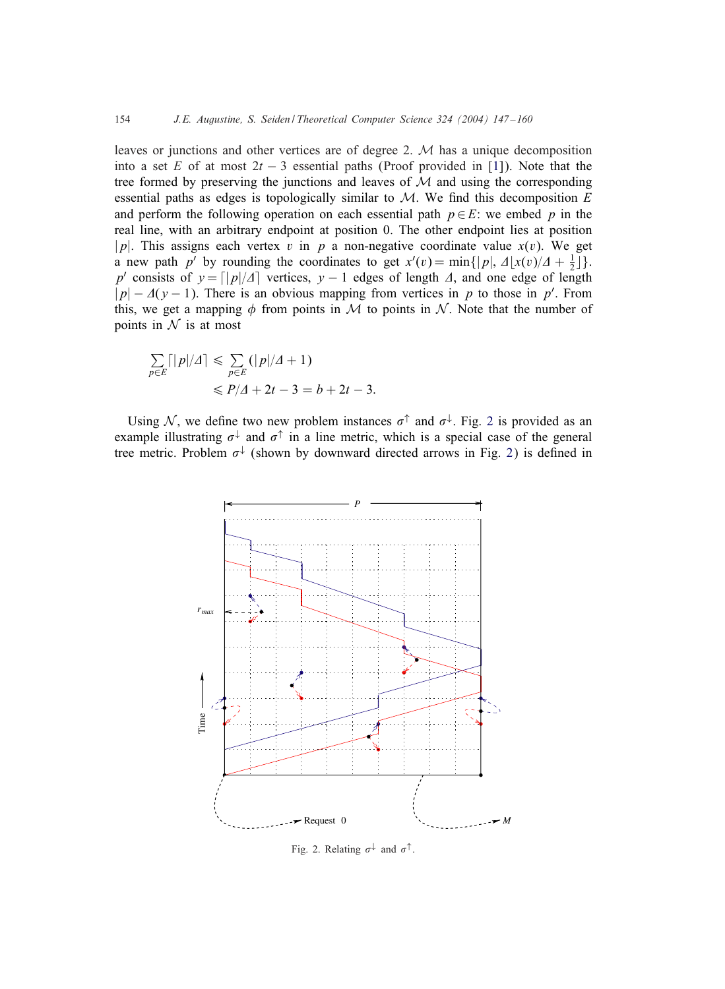leaves or junctions and other vertices are of degree 2. M has a unique decomposition into a set E of at most  $2t - 3$  essential paths (Proof provided in [1]). Note that the tree formed by preserving the junctions and leaves of  $M$  and using the corresponding essential paths as edges is topologically similar to  $M$ . We find this decomposition E and perform the following operation on each essential path  $p \in E$ : we embed p in the real line, with an arbitrary endpoint at position 0. The other endpoint lies at position |p|. This assigns each vertex v in p a non-negative coordinate value  $x(v)$ . We get a new path p' by rounding the coordinates to get  $x'(v) = \min\{|p|, \Delta | x(v)/\Delta + \frac{1}{2}|\}.$ p' consists of  $y = \lfloor |p|/4 \rfloor$  vertices,  $y - 1$  edges of length  $\Delta$ , and one edge of length  $|p| - \Delta(y - 1)$ . There is an obvious mapping from vertices in p to those in p'. From this, we get a mapping  $\phi$  from points in M to points in N. Note that the number of points in  $N$  is at most

$$
\sum_{p \in E} \lceil |p|/A \rceil \le \sum_{p \in E} \left( |p|/A + 1 \right)
$$
  

$$
\le P/4 + 2t - 3 = b + 2t - 3.
$$

Using N, we define two new problem instances  $\sigma^{\uparrow}$  and  $\sigma^{\downarrow}$ . Fig. 2 is provided as an example illustrating  $\sigma^{\downarrow}$  and  $\sigma^{\uparrow}$  in a line metric, which is a special case of the general tree metric. Problem  $\sigma^{\downarrow}$  (shown by downward directed arrows in Fig. 2) is defined in



Fig. 2. Relating  $\sigma^{\downarrow}$  and  $\sigma^{\uparrow}$ .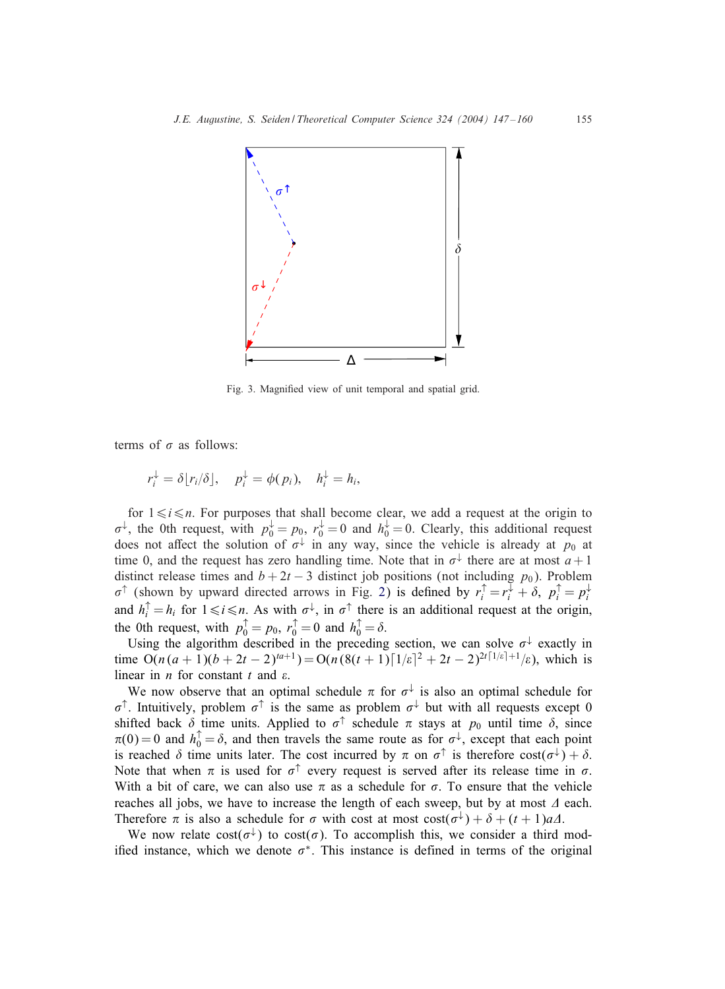

Fig. 3. Magnied view of unit temporal and spatial grid.

terms of  $\sigma$  as follows:

$$
r_i^{\downarrow} = \delta[r_i/\delta], \quad p_i^{\downarrow} = \phi(p_i), \quad h_i^{\downarrow} = h_i,
$$

for  $1 \leq i \leq n$ . For purposes that shall become clear, we add a request at the origin to  $\sigma^{\downarrow}$ , the 0th request, with  $p_0^{\downarrow} = p_0$ ,  $r_0^{\downarrow} = 0$  and  $h_0^{\downarrow} = 0$ . Clearly, this additional request does not affect the solution of  $\sigma^{\downarrow}$  in any way, since the vehicle is already at  $p_0$  at time 0, and the request has zero handling time. Note that in  $\sigma^{\downarrow}$  there are at most  $a+1$ distinct release times and  $b + 2t - 3$  distinct job positions (not including  $p_0$ ). Problem  $\sigma^{\uparrow}$  (shown by upward directed arrows in Fig. 2) is defined by  $r_i^{\uparrow} = r_i^{\downarrow} + \delta$ ,  $p_i^{\uparrow} = p_i^{\downarrow}$ and  $h_i^{\uparrow} = h_i$  for  $1 \le i \le n$ . As with  $\sigma^{\downarrow}$ , in  $\sigma^{\uparrow}$  there is an additional request at the origin, the 0th request, with  $p_0^{\uparrow} = p_0$ ,  $r_0^{\uparrow} = 0$  and  $h_0^{\uparrow} = \delta$ .

Using the algorithm described in the preceding section, we can solve  $\sigma^{\downarrow}$  exactly in time  $O(n(a+1)(b+2t-2)^{a+1}) = O(n(8(t+1))\lceil (1/\varepsilon)^2 + 2t - 2)^{2t\lceil (1/\varepsilon)^2 + 1} / \varepsilon$ , which is linear in *n* for constant  $t$  and  $\varepsilon$ .

We now observe that an optimal schedule  $\pi$  for  $\sigma^{\downarrow}$  is also an optimal schedule for  $\sigma^{\uparrow}$ . Intuitively, problem  $\sigma^{\uparrow}$  is the same as problem  $\sigma^{\downarrow}$  but with all requests except 0 shifted back  $\delta$  time units. Applied to  $\sigma^{\uparrow}$  schedule  $\pi$  stays at  $p_0$  until time  $\delta$ , since  $\pi(0) = 0$  and  $h_0^{\uparrow} = \delta$ , and then travels the same route as for  $\sigma^{\downarrow}$ , except that each point is reached  $\delta$  time units later. The cost incurred by  $\pi$  on  $\sigma^{\uparrow}$  is therefore  $\cos(\sigma^{\downarrow}) + \delta$ . Note that when  $\pi$  is used for  $\sigma^{\uparrow}$  every request is served after its release time in  $\sigma$ . With a bit of care, we can also use  $\pi$  as a schedule for  $\sigma$ . To ensure that the vehicle reaches all jobs, we have to increase the length of each sweep, but by at most  $\Delta$  each. Therefore  $\pi$  is also a schedule for  $\sigma$  with cost at most  $cost(\sigma^{\downarrow}) + \delta + (t + 1)a\Delta$ .

We now relate  $cost(\sigma^{\downarrow})$  to  $cost(\sigma)$ . To accomplish this, we consider a third modified instance, which we denote  $\sigma^*$ . This instance is defined in terms of the original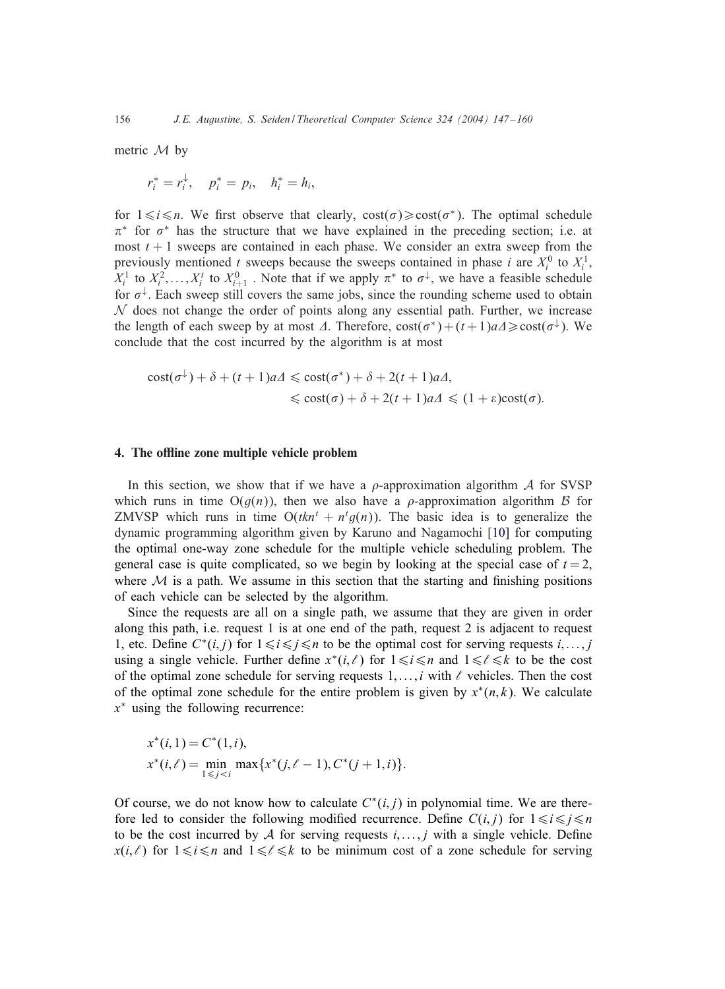metric M by

$$
r_i^* = r_i^{\downarrow}, \quad p_i^* = p_i, \quad h_i^* = h_i,
$$

for  $1 \le i \le n$ . We first observe that clearly,  $cost(\sigma) \ge cost(\sigma^*)$ . The optimal schedule  $\pi^*$  for  $\sigma^*$  has the structure that we have explained in the preceding section; i.e. at most  $t + 1$  sweeps are contained in each phase. We consider an extra sweep from the previously mentioned t sweeps because the sweeps contained in phase i are  $X_i^0$  to  $X_i^1$ ,  $X_i^1$  to  $X_i^2, \ldots, X_i^t$  to  $X_{i+1}^0$ . Note that if we apply  $\pi^*$  to  $\sigma^{\downarrow}$ , we have a feasible schedule for  $\sigma^{\downarrow}$ . Each sweep still covers the same jobs, since the rounding scheme used to obtain  $\mathcal N$  does not change the order of points along any essential path. Further, we increase the length of each sweep by at most  $\varDelta$ . Therefore,  $cost(\sigma^*) + (t+1)a\varDelta \geq cost(\sigma^{\downarrow})$ . We conclude that the cost incurred by the algorithm is at most

$$
\begin{aligned} \text{cost}(\sigma^{\downarrow}) + \delta + (t+1)a\Delta &\leq \text{cost}(\sigma^*) + \delta + 2(t+1)a\Delta, \\ &\leq \text{cost}(\sigma) + \delta + 2(t+1)a\Delta &\leq (1+\varepsilon)\text{cost}(\sigma). \end{aligned}
$$

## 4. The offline zone multiple vehicle problem

In this section, we show that if we have a  $\rho$ -approximation algorithm  $\mathcal A$  for SVSP which runs in time  $O(g(n))$ , then we also have a  $\rho$ -approximation algorithm B for ZMVSP which runs in time  $O(tkn^t + n^t g(n))$ . The basic idea is to generalize the dynamic programming algorithm given by Karuno and Nagamochi [10] for computing the optimal one-way zone schedule for the multiple vehicle scheduling problem. The general case is quite complicated, so we begin by looking at the special case of  $t = 2$ , where  $M$  is a path. We assume in this section that the starting and finishing positions of each vehicle can be selected by the algorithm.

Since the requests are all on a single path, we assume that they are given in order along this path, i.e. request 1 is at one end of the path, request 2 is adjacent to request 1, etc. Define  $C^*(i, j)$  for  $1 \le i \le j \le n$  to be the optimal cost for serving requests  $i, \ldots, j$ using a single vehicle. Further define  $x^*(i,\ell)$  for  $1 \le i \le n$  and  $1 \le \ell \le k$  to be the cost of the optimal zone schedule for serving requests  $1, \ldots, i$  with  $\ell$  vehicles. Then the cost of the optimal zone schedule for the entire problem is given by  $x^*(n, k)$ . We calculate x <sup>∗</sup> using the following recurrence:

$$
x^*(i, 1) = C^*(1, i),
$$
  
\n
$$
x^*(i, \ell) = \min_{1 \le j < i} \max\{x^*(j, \ell - 1), C^*(j + 1, i)\}.
$$

Of course, we do not know how to calculate  $C^*(i, j)$  in polynomial time. We are therefore led to consider the following modified recurrence. Define  $C(i, j)$  for  $1 \leq i \leq j \leq n$ to be the cost incurred by  $A$  for serving requests  $i, \ldots, j$  with a single vehicle. Define  $x(i,\ell)$  for  $1\le i\le n$  and  $1\le \ell\le k$  to be minimum cost of a zone schedule for serving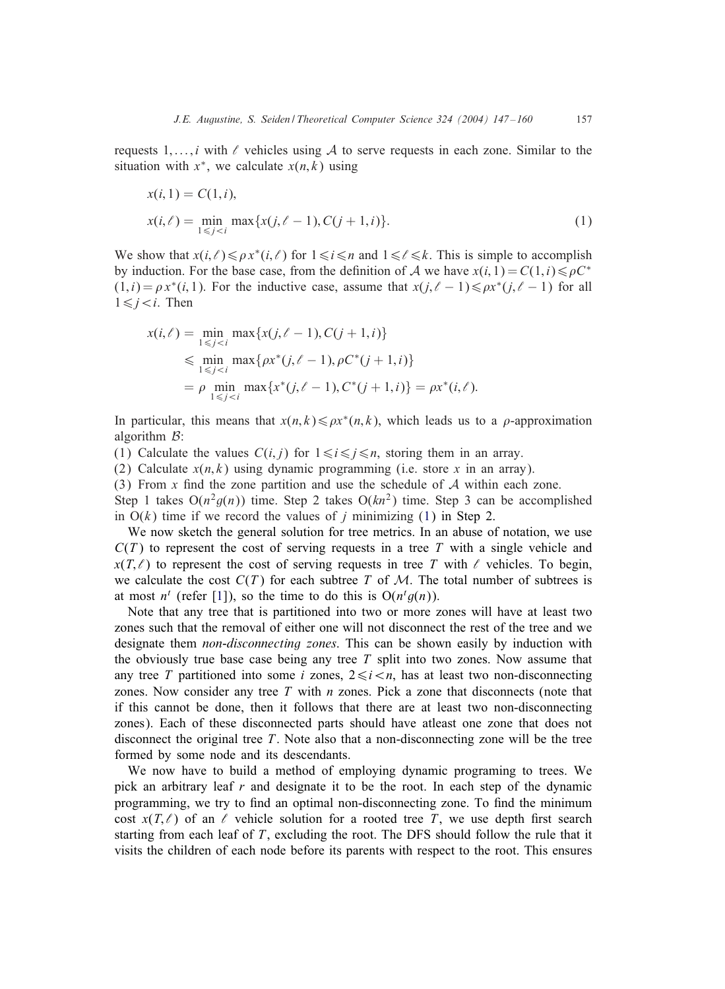requests 1,..., i with  $\ell$  vehicles using A to serve requests in each zone. Similar to the situation with  $x^*$ , we calculate  $x(n, k)$  using

$$
x(i, 1) = C(1, i),
$$
  
\n
$$
x(i, \ell) = \min_{1 \le j < i} \max\{x(j, \ell - 1), C(j + 1, i)\}.
$$
\n
$$
(1)
$$

We show that  $x(i,\ell) \leq \rho x^*(i,\ell)$  for  $1 \leq i \leq n$  and  $1 \leq \ell \leq k$ . This is simple to accomplish by induction. For the base case, from the definition of A we have  $x(i, 1) = C(1, i) \le \rho C^*$  $(1,i) = \rho x^*(i,1)$ . For the inductive case, assume that  $x(j,\ell-1) \leq \rho x^*(j,\ell-1)$  for all  $1 \leq i \leq i$ . Then

$$
x(i,\ell) = \min_{1 \le j < i} \max\{x(j,\ell-1), C(j+1,i)\}
$$
\n
$$
\le \min_{1 \le j < i} \max\{\rho x^*(j,\ell-1), \rho C^*(j+1,i)\}
$$
\n
$$
= \rho \min_{1 \le j < i} \max\{x^*(j,\ell-1), C^*(j+1,i)\} = \rho x^*(i,\ell).
$$

In particular, this means that  $x(n, k) \le \rho x^*(n, k)$ , which leads us to a  $\rho$ -approximation algorithm  $B$ :

(1) Calculate the values  $C(i, j)$  for  $1 \le i \le j \le n$ , storing them in an array.

(2) Calculate  $x(n, k)$  using dynamic programming (i.e. store x in an array).

(3) From  $x$  find the zone partition and use the schedule of  $A$  within each zone.

Step 1 takes  $O(n^2 g(n))$  time. Step 2 takes  $O(kn^2)$  time. Step 3 can be accomplished in  $O(k)$  time if we record the values of j minimizing (1) in Step 2.

We now sketch the general solution for tree metrics. In an abuse of notation, we use  $C(T)$  to represent the cost of serving requests in a tree T with a single vehicle and  $x(T,\ell)$  to represent the cost of serving requests in tree T with  $\ell$  vehicles. To begin, we calculate the cost  $C(T)$  for each subtree T of M. The total number of subtrees is at most  $n^t$  (refer [1]), so the time to do this is  $O(n^t g(n))$ .

Note that any tree that is partitioned into two or more zones will have at least two zones such that the removal of either one will not disconnect the rest of the tree and we designate them *non-disconnecting zones*. This can be shown easily by induction with the obviously true base case being any tree  $T$  split into two zones. Now assume that any tree T partitioned into some i zones,  $2 \le i \le n$ , has at least two non-disconnecting zones. Now consider any tree  $T$  with  $n$  zones. Pick a zone that disconnects (note that if this cannot be done, then it follows that there are at least two non-disconnecting zones). Each of these disconnected parts should have atleast one zone that does not disconnect the original tree T. Note also that a non-disconnecting zone will be the tree formed by some node and its descendants.

We now have to build a method of employing dynamic programing to trees. We pick an arbitrary leaf  $r$  and designate it to be the root. In each step of the dynamic programming, we try to find an optimal non-disconnecting zone. To find the minimum cost  $x(T,\ell)$  of an  $\ell$  vehicle solution for a rooted tree T, we use depth first search starting from each leaf of  $T$ , excluding the root. The DFS should follow the rule that it visits the children of each node before its parents with respect to the root. This ensures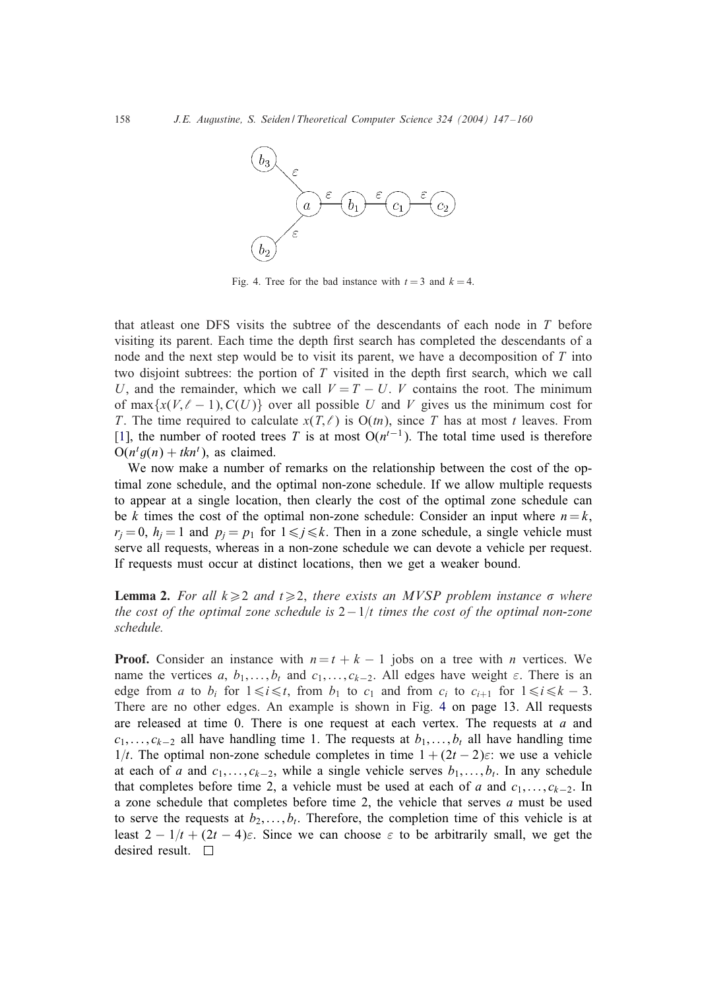

Fig. 4. Tree for the bad instance with  $t = 3$  and  $k = 4$ .

that atleast one DFS visits the subtree of the descendants of each node in  $T$  before visiting its parent. Each time the depth first search has completed the descendants of a node and the next step would be to visit its parent, we have a decomposition of T into two disjoint subtrees: the portion of  $T$  visited in the depth first search, which we call U, and the remainder, which we call  $V = T - U$ . V contains the root. The minimum of max $\{x(V, \ell - 1), C(U)\}$  over all possible U and V gives us the minimum cost for T. The time required to calculate  $x(T, \ell)$  is  $O(tn)$ , since T has at most t leaves. From [1], the number of rooted trees T is at most  $O(n^{t-1})$ . The total time used is therefore  $O(n^t g(n) + tkn^t)$ , as claimed.

We now make a number of remarks on the relationship between the cost of the optimal zone schedule, and the optimal non-zone schedule. If we allow multiple requests to appear at a single location, then clearly the cost of the optimal zone schedule can be k times the cost of the optimal non-zone schedule: Consider an input where  $n = k$ ,  $r_i = 0$ ,  $h_i = 1$  and  $p_i = p_1$  for  $1 \leq i \leq k$ . Then in a zone schedule, a single vehicle must serve all requests, whereas in a non-zone schedule we can devote a vehicle per request. If requests must occur at distinct locations, then we get a weaker bound.

**Lemma 2.** For all  $k \geq 2$  and  $t \geq 2$ , there exists an MVSP problem instance  $\sigma$  where *the cost of the optimal zone schedule is*  $2-1/t$  *times the cost of the optimal non-zone schedule.*

**Proof.** Consider an instance with  $n = t + k - 1$  jobs on a tree with n vertices. We name the vertices a,  $b_1$ ,..., $b_t$  and  $c_1$ ,..., $c_{k-2}$ . All edges have weight  $\varepsilon$ . There is an edge from *a* to  $b_i$  for  $1 \le i \le t$ , from  $b_1$  to  $c_1$  and from  $c_i$  to  $c_{i+1}$  for  $1 \le i \le k-3$ . There are no other edges. An example is shown in Fig. 4 on page 13. All requests are released at time 0. There is one request at each vertex. The requests at  $a$  and  $c_1, \ldots, c_{k-2}$  all have handling time 1. The requests at  $b_1, \ldots, b_t$  all have handling time 1/t. The optimal non-zone schedule completes in time  $1 + (2t - 2)\varepsilon$ : we use a vehicle at each of a and  $c_1, \ldots, c_{k-2}$ , while a single vehicle serves  $b_1, \ldots, b_t$ . In any schedule that completes before time 2, a vehicle must be used at each of a and  $c_1, \ldots, c_{k-2}$ . In a zone schedule that completes before time 2, the vehicle that serves  $a$  must be used to serve the requests at  $b_2, \ldots, b_t$ . Therefore, the completion time of this vehicle is at least  $2 - 1/t + (2t - 4)\epsilon$ . Since we can choose  $\epsilon$  to be arbitrarily small, we get the desired result.  $\square$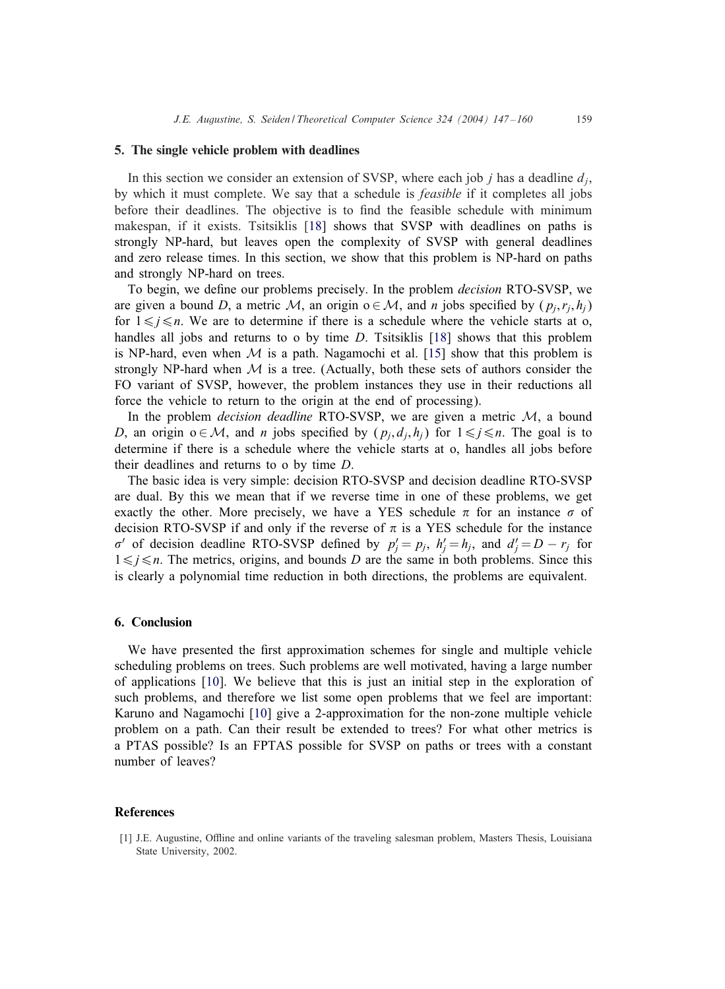## 5. The single vehicle problem with deadlines

In this section we consider an extension of SVSP, where each job  $j$  has a deadline  $d_j$ , by which it must complete. We say that a schedule is *feasible* if it completes all jobs before their deadlines. The objective is to find the feasible schedule with minimum makespan, if it exists. Tsitsiklis [18] shows that SVSP with deadlines on paths is strongly NP-hard, but leaves open the complexity of SVSP with general deadlines and zero release times. In this section, we show that this problem is NP-hard on paths and strongly NP-hard on trees.

To begin, we define our problems precisely. In the problem *decision* RTO-SVSP, we are given a bound D, a metric M, an origin  $o \in \mathcal{M}$ , and n jobs specified by  $(p_j, r_j, h_j)$ for  $1 \leq j \leq n$ . We are to determine if there is a schedule where the vehicle starts at o, handles all jobs and returns to o by time D. Tsitsiklis [18] shows that this problem is NP-hard, even when  $M$  is a path. Nagamochi et al. [15] show that this problem is strongly NP-hard when  $M$  is a tree. (Actually, both these sets of authors consider the FO variant of SVSP, however, the problem instances they use in their reductions all force the vehicle to return to the origin at the end of processing).

In the problem *decision deadline* RTO-SVSP, we are given a metric M, a bound D, an origin  $o \in \mathcal{M}$ , and *n* jobs specified by  $(p_j, d_j, h_j)$  for  $1 \leq j \leq n$ . The goal is to determine if there is a schedule where the vehicle starts at o, handles all jobs before their deadlines and returns to o by time D.

The basic idea is very simple: decision RTO-SVSP and decision deadline RTO-SVSP are dual. By this we mean that if we reverse time in one of these problems, we get exactly the other. More precisely, we have a YES schedule  $\pi$  for an instance  $\sigma$  of decision RTO-SVSP if and only if the reverse of  $\pi$  is a YES schedule for the instance  $\sigma'$  of decision deadline RTO-SVSP defined by  $p'_j = p_j$ ,  $h'_j = h_j$ , and  $d'_j = D - r_j$  for  $1 \leq j \leq n$ . The metrics, origins, and bounds D are the same in both problems. Since this is clearly a polynomial time reduction in both directions, the problems are equivalent.

## 6. Conclusion

We have presented the first approximation schemes for single and multiple vehicle scheduling problems on trees. Such problems are well motivated, having a large number of applications [10]. We believe that this is just an initial step in the exploration of such problems, and therefore we list some open problems that we feel are important: Karuno and Nagamochi [10] give a 2-approximation for the non-zone multiple vehicle problem on a path. Can their result be extended to trees? For what other metrics is a PTAS possible? Is an FPTAS possible for SVSP on paths or trees with a constant number of leaves?

## References

<sup>[1]</sup> J.E. Augustine, Offline and online variants of the traveling salesman problem, Masters Thesis, Louisiana State University, 2002.